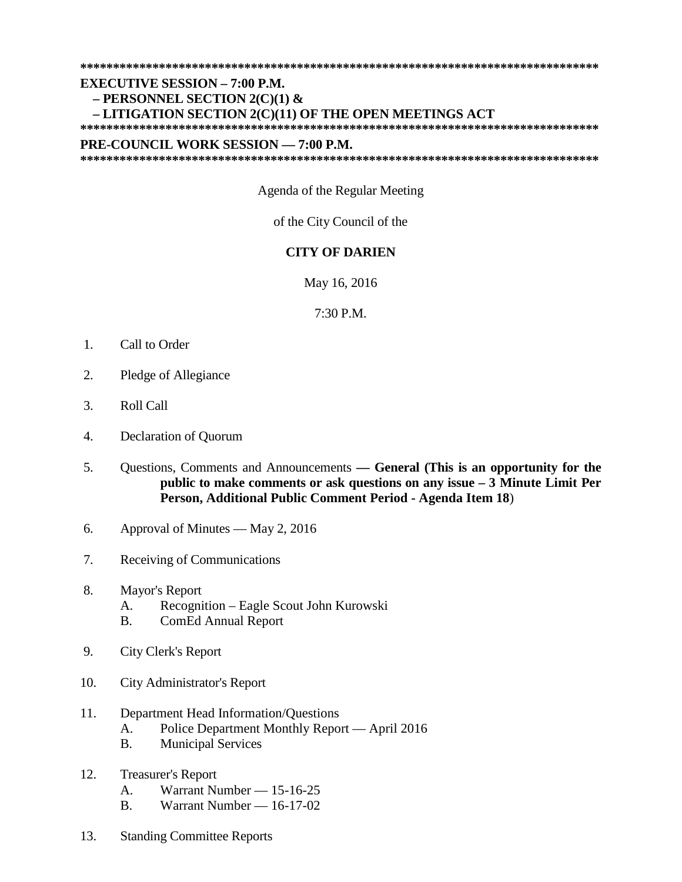**\*\*\*\*\*\*\*\*\*\*\*\*\*\*\*\*\*\*\*\*\*\*\*\*\*\*\*\*\*\*\*\*\*\*\*\*\*\*\*\*\*\*\*\*\*\*\*\*\*\*\*\*\*\*\*\*\*\*\*\*\*\*\*\*\*\*\*\*\*\*\*\*\*\*\*\*\*\*\***

#### **EXECUTIVE SESSION – 7:00 P.M.**

# **– PERSONNEL SECTION 2(C)(1) &**

## **– LITIGATION SECTION 2(C)(11) OF THE OPEN MEETINGS ACT**

**\*\*\*\*\*\*\*\*\*\*\*\*\*\*\*\*\*\*\*\*\*\*\*\*\*\*\*\*\*\*\*\*\*\*\*\*\*\*\*\*\*\*\*\*\*\*\*\*\*\*\*\*\*\*\*\*\*\*\*\*\*\*\*\*\*\*\*\*\*\*\*\*\*\*\*\*\*\*\***

#### **PRE-COUNCIL WORK SESSION — 7:00 P.M.**

**\*\*\*\*\*\*\*\*\*\*\*\*\*\*\*\*\*\*\*\*\*\*\*\*\*\*\*\*\*\*\*\*\*\*\*\*\*\*\*\*\*\*\*\*\*\*\*\*\*\*\*\*\*\*\*\*\*\*\*\*\*\*\*\*\*\*\*\*\*\*\*\*\*\*\*\*\*\*\***

### Agenda of the Regular Meeting

#### of the City Council of the

#### **CITY OF DARIEN**

May 16, 2016

7:30 P.M.

- 1. Call to Order
- 2. Pledge of Allegiance
- 3. Roll Call
- 4. Declaration of Quorum
- 5. Questions, Comments and Announcements **— General (This is an opportunity for the public to make comments or ask questions on any issue – 3 Minute Limit Per Person, Additional Public Comment Period - Agenda Item 18**)
- 6. Approval of Minutes May 2, 2016
- 7. Receiving of Communications
- 8. Mayor's Report
	- A. Recognition Eagle Scout John Kurowski
	- B. ComEd Annual Report
- 9. City Clerk's Report
- 10. City Administrator's Report

## 11. Department Head Information/Questions

- A. Police Department Monthly Report April 2016
- B. Municipal Services
- 12. Treasurer's Report
	- A. Warrant Number 15-16-25
	- B. Warrant Number 16-17-02
- 13. Standing Committee Reports